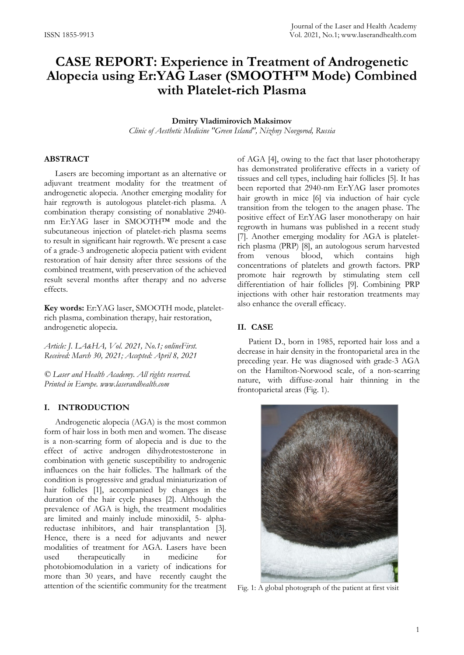# **CASE REPORT: Experience in Treatment of Androgenetic Alopecia using Er:YAG Laser (SMOOTH™ Mode) Combined with Platelet-rich Plasma**

## **Dmitry Vladimirovich Maksimov**

*Clinic of Aesthetic Medicine "Green Island", Nizhny Novgorod, Russia*

# **ABSTRACT**

Lasers are becoming important as an alternative or adjuvant treatment modality for the treatment of androgenetic alopecia. Another emerging modality for hair regrowth is autologous platelet-rich plasma. A combination therapy consisting of nonablative 2940 nm Er:YAG laser in SMOOTH™ mode and the subcutaneous injection of platelet-rich plasma seems to result in significant hair regrowth. We present a case of a grade-3 androgenetic alopecia patient with evident restoration of hair density after three sessions of the combined treatment, with preservation of the achieved result several months after therapy and no adverse effects.

**Key words:** Er:YAG laser, SMOOTH mode, plateletrich plasma, combination therapy, hair restoration, androgenetic alopecia.

*Article: J. LA&HA, Vol. 2021, No.1; onlineFirst. Received: March 30, 2021; Accepted: April 8, 2021*

*© Laser and Health Academy. All rights reserved. Printed in Europe. www.laserandhealth.com*

#### **I. INTRODUCTION**

Androgenetic alopecia (AGA) is the most common form of hair loss in both men and women. The disease is a non-scarring form of alopecia and is due to the effect of active androgen dihydrotestosterone in combination with genetic susceptibility to androgenic influences on the hair follicles. The hallmark of the condition is progressive and gradual miniaturization of hair follicles [1], accompanied by changes in the duration of the hair cycle phases [2]. Although the prevalence of AGA is high, the treatment modalities are limited and mainly include minoxidil, 5- alphareductase inhibitors, and hair transplantation [3]. Hence, there is a need for adjuvants and newer modalities of treatment for AGA. Lasers have been used therapeutically in medicine for photobiomodulation in a variety of indications for more than 30 years, and have recently caught the attention of the scientific community for the treatment of AGA [4], owing to the fact that laser phototherapy has demonstrated proliferative effects in a variety of tissues and cell types, including hair follicles [5]. It has been reported that 2940-nm Er:YAG laser promotes hair growth in mice [6] via induction of hair cycle transition from the telogen to the anagen phase. The positive effect of Er:YAG laser monotherapy on hair regrowth in humans was published in a recent study [7]. Another emerging modality for AGA is plateletrich plasma (PRP) [8], an autologous serum harvested from venous blood, which contains high concentrations of platelets and growth factors. PRP promote hair regrowth by stimulating stem cell differentiation of hair follicles [9]. Combining PRP injections with other hair restoration treatments may also enhance the overall efficacy.

### **II. CASE**

Patient D., born in 1985, reported hair loss and a decrease in hair density in the frontoparietal area in the preceding year. He was diagnosed with grade-3 AGA on the Hamilton-Norwood scale, of a non-scarring nature, with diffuse-zonal hair thinning in the frontoparietal areas (Fig. 1).



Fig. 1: A global photograph of the patient at first visit